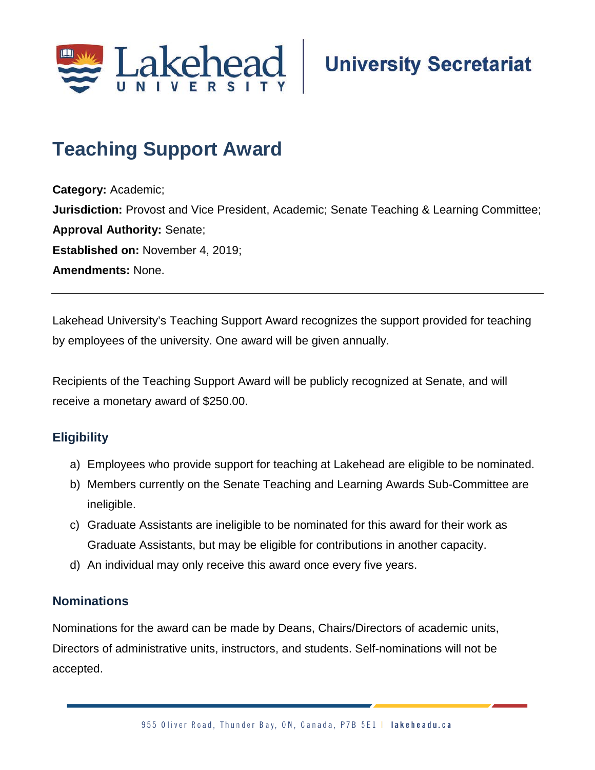

# **Teaching Support Award**

**Category:** Academic; **Jurisdiction:** Provost and Vice President, Academic; Senate Teaching & Learning Committee; **Approval Authority:** Senate; **Established on:** November 4, 2019; **Amendments:** None.

Lakehead University's Teaching Support Award recognizes the support provided for teaching by employees of the university. One award will be given annually.

Recipients of the Teaching Support Award will be publicly recognized at Senate, and will receive a monetary award of \$250.00.

#### **Eligibility**

- a) Employees who provide support for teaching at Lakehead are eligible to be nominated.
- b) Members currently on the Senate Teaching and Learning Awards Sub-Committee are ineligible.
- c) Graduate Assistants are ineligible to be nominated for this award for their work as Graduate Assistants, but may be eligible for contributions in another capacity.
- d) An individual may only receive this award once every five years.

#### **Nominations**

Nominations for the award can be made by Deans, Chairs/Directors of academic units, Directors of administrative units, instructors, and students. Self-nominations will not be accepted.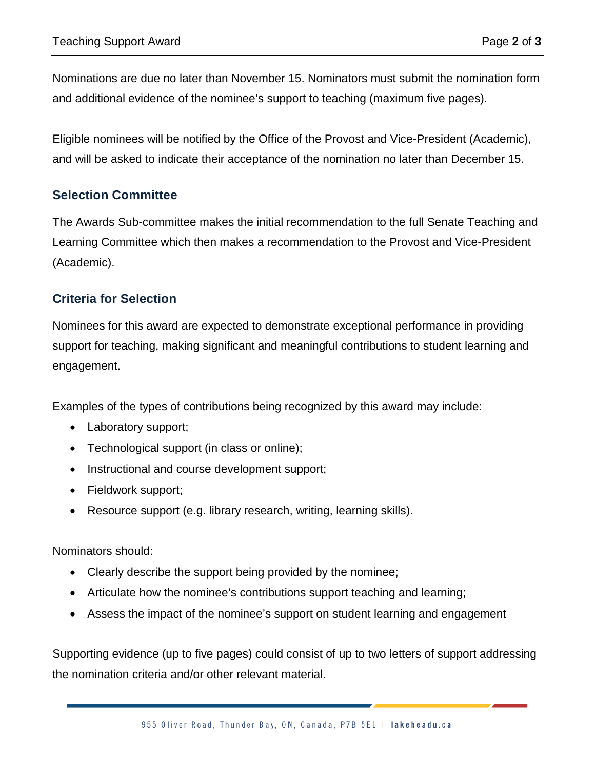Nominations are due no later than November 15. Nominators must submit the nomination form and additional evidence of the nominee's support to teaching (maximum five pages).

Eligible nominees will be notified by the Office of the Provost and Vice-President (Academic), and will be asked to indicate their acceptance of the nomination no later than December 15.

#### **Selection Committee**

The Awards Sub-committee makes the initial recommendation to the full Senate Teaching and Learning Committee which then makes a recommendation to the Provost and Vice-President (Academic).

### **Criteria for Selection**

Nominees for this award are expected to demonstrate exceptional performance in providing support for teaching, making significant and meaningful contributions to student learning and engagement.

Examples of the types of contributions being recognized by this award may include:

- Laboratory support;
- Technological support (in class or online);
- Instructional and course development support;
- Fieldwork support;
- Resource support (e.g. library research, writing, learning skills).

Nominators should:

- Clearly describe the support being provided by the nominee;
- Articulate how the nominee's contributions support teaching and learning;
- Assess the impact of the nominee's support on student learning and engagement

Supporting evidence (up to five pages) could consist of up to two letters of support addressing the nomination criteria and/or other relevant material.